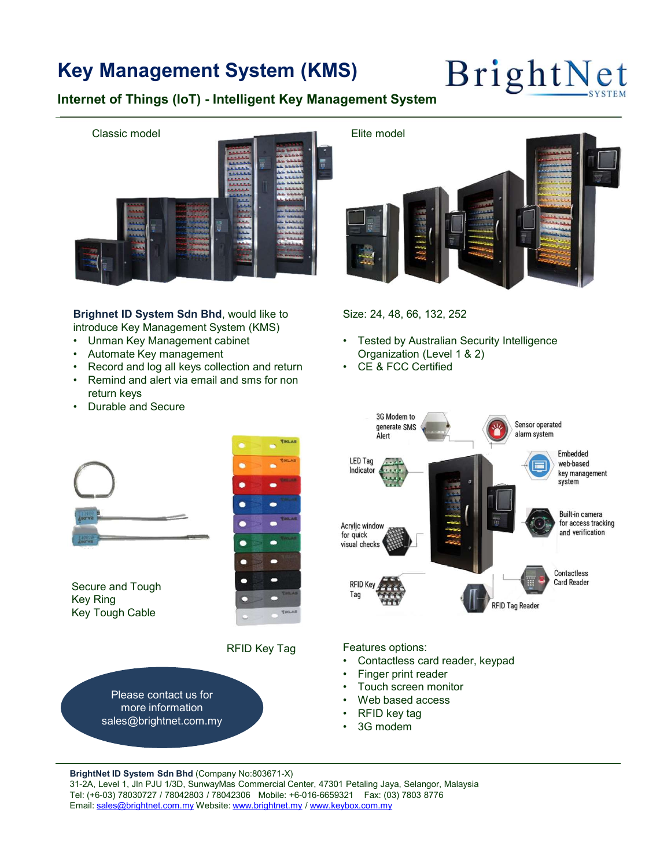## Key Management System (KMS)  $Brigh$ t Net



introduce Key Management System (KMS)

- 
- 
- 
- return keys
- 



Size: 24, 48, 66, 132, 252

- Organization (Level 1 & 2)
- 



Secure and Tough **Secure and Tough 1999** Key Ring **Key Ring and Struck and Struck Contract Contract Contract Contract Contract Contract Contract Contract Contract Contract Contract Contract Contract Contract Contract Contract Contract Contract Contract Contract** Key Tough Cable



Please contact us for ease contact us for<br>more information<br>
and the same of the second of the second of the second of the second of the second of the second of the second of the second of the second of the second of the second of the second of sales@brightnet.com.my



Features options:

- RFID Key Tag Features options:<br>Contactless card reader, keypad Contactless card reader, keypad
	-
	-
	-
	-
	-

BrightNet ID System Sdn Bhd (Company No:803671-X)<br>31-2A, Level 1, Jln PJU 1/3D, SunwayMas Commercial Center, 47301 Petaling Jaya, Selangor, Malaysia Tel: (+6-03) 78030727 / 78042803 / 78042306 Mobile: +6-016-6659321 Fax: (03) 7803 8776 Email: sales@brightnet.com.my Website: www.brightnet.my / www.keybox.com.my